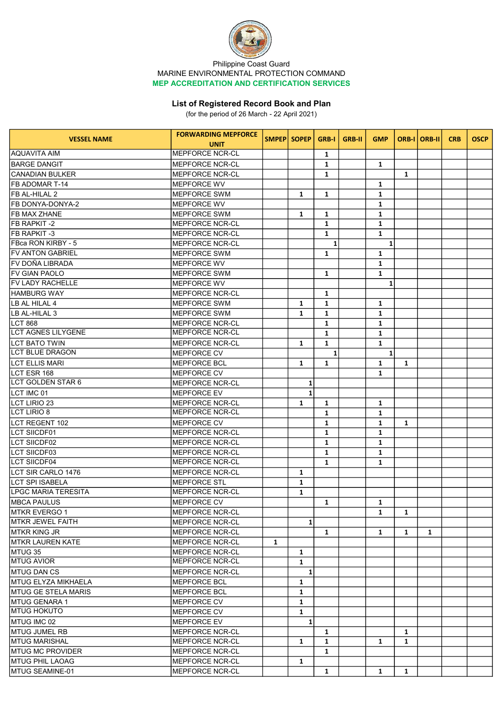

## Philippine Coast Guard MARINE ENVIRONMENTAL PROTECTION COMMAND MEP ACCREDITATION AND CERTIFICATION SERVICES

## List of Registered Record Book and Plan

(for the period of 26 March - 22 April 2021)

| <b>VESSEL NAME</b>                             | <b>FORWARDING MEPFORCE</b>                    |              | SMPEP SOPEP  | <b>GRB-I</b> | <b>GRB-II</b> | <b>GMP</b>   |              | ORB-I   ORB-II | <b>CRB</b> | <b>OSCP</b> |
|------------------------------------------------|-----------------------------------------------|--------------|--------------|--------------|---------------|--------------|--------------|----------------|------------|-------------|
|                                                | <b>UNIT</b>                                   |              |              |              |               |              |              |                |            |             |
| AQUAVITA AIM                                   | <b>MEPFORCE NCR-CL</b>                        |              |              | 1            |               |              |              |                |            |             |
| IBARGE DANGIT                                  | <b>MEPFORCE NCR-CL</b>                        |              |              | $\mathbf{1}$ |               | 1            |              |                |            |             |
| CANADIAN BULKER                                | <b>MEPFORCE NCR-CL</b>                        |              |              | 1            |               |              | 1            |                |            |             |
| IFB ADOMAR T-14                                | <b>MEPFORCE WV</b>                            |              |              |              |               | 1            |              |                |            |             |
| IFB AL-HILAL 2                                 | <b>MEPFORCE SWM</b>                           |              | 1            | 1            |               | $\mathbf{1}$ |              |                |            |             |
| IFB DONYA-DONYA-2                              | <b>MEPFORCE WV</b>                            |              |              |              |               | $\mathbf{1}$ |              |                |            |             |
| IFB MAX ZHANE                                  | <b>MEPFORCE SWM</b>                           |              | $\mathbf{1}$ | 1            |               | $\mathbf{1}$ |              |                |            |             |
| IFB RAPKIT -2                                  | <b>MEPFORCE NCR-CL</b>                        |              |              | $\mathbf{1}$ |               | $\mathbf{1}$ |              |                |            |             |
| IFB RAPKIT -3                                  | <b>MEPFORCE NCR-CL</b>                        |              |              | $\mathbf{1}$ |               | $\mathbf{1}$ |              |                |            |             |
| lFBca RON KIRBY - 5                            | <b>MEPFORCE NCR-CL</b>                        |              |              | $\mathbf{1}$ |               | $\mathbf{1}$ |              |                |            |             |
| IFV ANTON GABRIEL                              | <b>MEPFORCE SWM</b>                           |              |              | $\mathbf{1}$ |               | $\mathbf{1}$ |              |                |            |             |
| IFV DOÑA LIBRADA                               | <b>MEPFORCE WV</b>                            |              |              |              |               | $\mathbf{1}$ |              |                |            |             |
| IFV GIAN PAOLO                                 | <b>MEPFORCE SWM</b>                           |              |              | $\mathbf{1}$ |               | $\mathbf{1}$ |              |                |            |             |
| IFV LADY RACHELLE                              | <b>MEPFORCE WV</b>                            |              |              |              |               | 1            |              |                |            |             |
| <b>HAMBURG WAY</b>                             | <b>MEPFORCE NCR-CL</b>                        |              |              | 1            |               |              |              |                |            |             |
| ILB AL HILAL 4                                 | <b>MEPFORCE SWM</b>                           |              | 1            | 1            |               | $\mathbf{1}$ |              |                |            |             |
| LB AL-HILAL 3                                  | MEPFORCE SWM                                  |              | 1            | $\mathbf{1}$ |               | $\mathbf{1}$ |              |                |            |             |
| LCT 868                                        | MEPFORCE NCR-CL                               |              |              | $\mathbf{1}$ |               | $\mathbf{1}$ |              |                |            |             |
| <b>LCT AGNES LILYGENE</b>                      | MEPFORCE NCR-CL                               |              |              | $\mathbf{1}$ |               | $\mathbf{1}$ |              |                |            |             |
| <b>LCT BATO TWIN</b>                           | MEPFORCE NCR-CL                               |              | $\mathbf{1}$ | $\mathbf{1}$ |               | $\mathbf{1}$ |              |                |            |             |
| ILCT BLUE DRAGON                               | IMEPFORCE CV                                  |              |              | $1\vert$     |               | $1\vert$     |              |                |            |             |
| <b>LCT ELLIS MARI</b>                          | <b>MEPFORCE BCL</b>                           |              | 1            | 1            |               | $\mathbf{1}$ | $\mathbf{1}$ |                |            |             |
| <b>LCT ESR 168</b>                             | <b>MEPFORCE CV</b>                            |              |              |              |               | $\mathbf{1}$ |              |                |            |             |
| ILCT GOLDEN STAR 6                             | <b>MEPFORCE NCR-CL</b>                        |              | 1            |              |               |              |              |                |            |             |
| LCT IMC 01                                     | <b>MEPFORCE EV</b>                            |              | $\mathbf{1}$ |              |               |              |              |                |            |             |
| ILCT LIRIO 23                                  | <b>MEPFORCE NCR-CL</b>                        |              | $\mathbf{1}$ | 1            |               | $\mathbf{1}$ |              |                |            |             |
| <b>LCT LIRIO 8</b>                             | <b>MEPFORCE NCR-CL</b>                        |              |              | 1            |               | 1            |              |                |            |             |
| ILCT REGENT 102                                | <b>MEPFORCE CV</b>                            |              |              | 1            |               | 1            | $\mathbf{1}$ |                |            |             |
| ILCT SIICDF01                                  | <b>MEPFORCE NCR-CL</b>                        |              |              | 1            |               | 1            |              |                |            |             |
| <b>LCT SIICDF02</b>                            | <b>MEPFORCE NCR-CL</b>                        |              |              | $\mathbf{1}$ |               | $\mathbf{1}$ |              |                |            |             |
| <b>LCT SIICDF03</b>                            | <b>MEPFORCE NCR-CL</b>                        |              |              | 1            |               | $\mathbf{1}$ |              |                |            |             |
| <b>LCT SIICDF04</b>                            | <b>MEPFORCE NCR-CL</b>                        |              |              | $\mathbf{1}$ |               | $\mathbf{1}$ |              |                |            |             |
|                                                |                                               |              |              |              |               |              |              |                |            |             |
| LCT SIR CARLO 1476                             | <b>MEPFORCE NCR-CL</b>                        |              | 1            |              |               |              |              |                |            |             |
| ILCT SPI ISABELA<br><b>LPGC MARIA TERESITA</b> | <b>MEPFORCE STL</b><br><b>MEPFORCE NCR-CL</b> |              | $\mathbf{1}$ |              |               |              |              |                |            |             |
|                                                |                                               |              | $\mathbf{1}$ |              |               |              |              |                |            |             |
| IMBCA PAULUS                                   | <b>MEPFORCE CV</b>                            |              |              | $\mathbf{1}$ |               | $\mathbf{1}$ |              |                |            |             |
| MTKR EVERGO 1                                  | MEPFORCE NCR-CL                               |              |              |              |               | 1            | 1            |                |            |             |
| <b>MTKR JEWEL FAITH</b>                        | MEPFORCE NCR-CL                               |              | $\mathbf{1}$ |              |               |              |              |                |            |             |
| IMTKR KING JR                                  | MEPFORCE NCR-CL                               |              |              | $\mathbf{1}$ |               | $\mathbf{1}$ | $\mathbf{1}$ | $\mathbf{1}$   |            |             |
| MTKR LAUREN KATE                               | IMEPFORCE NCR-CL                              | $\mathbf{1}$ |              |              |               |              |              |                |            |             |
| MTUG 35                                        | MEPFORCE NCR-CL                               |              | 1            |              |               |              |              |                |            |             |
| <b>MTUG AVIOR</b>                              | MEPFORCE NCR-CL                               |              | $\mathbf{1}$ |              |               |              |              |                |            |             |
| <b>MTUG DAN CS</b>                             | MEPFORCE NCR-CL                               |              | $\mathbf{1}$ |              |               |              |              |                |            |             |
| <b>IMTUG ELYZA MIKHAELA</b>                    | MEPFORCE BCL                                  |              | 1            |              |               |              |              |                |            |             |
| IMTUG GE STELA MARIS                           | MEPFORCE BCL                                  |              | $\mathbf{1}$ |              |               |              |              |                |            |             |
| IMTUG GENARA 1                                 | MEPFORCE CV                                   |              | $\mathbf{1}$ |              |               |              |              |                |            |             |
| IMTUG HOKUTO                                   | MEPFORCE CV                                   |              | $\mathbf{1}$ |              |               |              |              |                |            |             |
| MTUG IMC 02                                    | MEPFORCE EV                                   |              | $\mathbf{1}$ |              |               |              |              |                |            |             |
| <b>MTUG JUMEL RB</b>                           | <b>MEPFORCE NCR-CL</b>                        |              |              | 1            |               |              | 1            |                |            |             |
| <b>MTUG MARISHAL</b>                           | <b>MEPFORCE NCR-CL</b>                        |              | 1            | 1            |               | 1            | 1            |                |            |             |
| <b>IMTUG MC PROVIDER</b>                       | <b>MEPFORCE NCR-CL</b>                        |              |              | $\mathbf{1}$ |               |              |              |                |            |             |
| <b>MTUG PHIL LAOAG</b>                         | MEPFORCE NCR-CL                               |              | 1            |              |               |              |              |                |            |             |
| IMTUG SEAMINE-01                               | <b>MEPFORCE NCR-CL</b>                        |              |              | 1            |               | 1            | 1            |                |            |             |